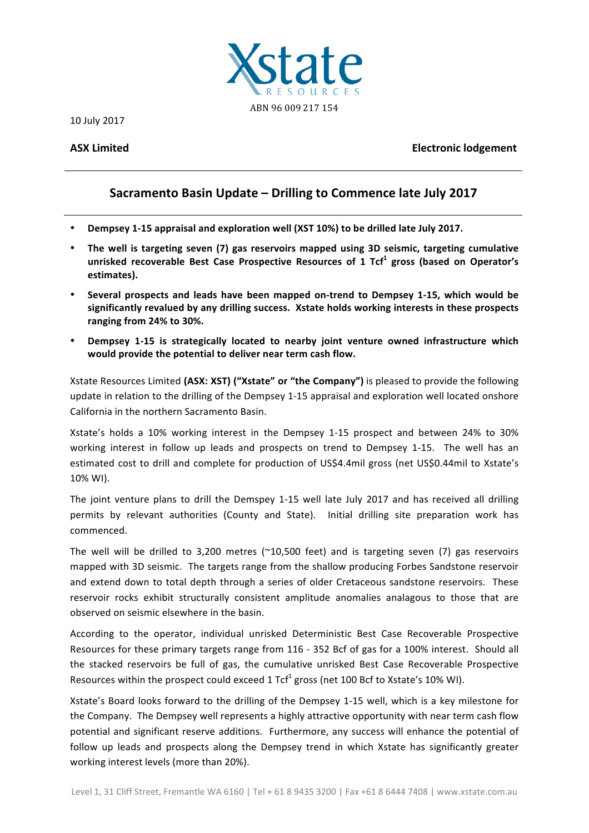

10 July 2017

**ASX** Limited **Electronic lodgement** 

# **Sacramento Basin Update – Drilling to Commence late July 2017**

- Dempsey 1-15 appraisal and exploration well (XST 10%) to be drilled late July 2017.
- The well is targeting seven (7) gas reservoirs mapped using 3D seismic, targeting cumulative **unrisked recoverable Best Case Prospective Resources of 1 Tcf<sup>1</sup> gross (based on Operator's estimates).**
- Several prospects and leads have been mapped on-trend to Dempsey 1-15, which would be significantly revalued by any drilling success. Xstate holds working interests in these prospects **ranging from 24% to 30%.**
- **Dempsey 1-15** is strategically located to nearby joint venture owned infrastructure which would provide the potential to deliver near term cash flow.

Xstate Resources Limited (ASX: XST) ("Xstate" or "the Company") is pleased to provide the following update in relation to the drilling of the Dempsey 1-15 appraisal and exploration well located onshore California in the northern Sacramento Basin.

Xstate's holds a 10% working interest in the Dempsey 1-15 prospect and between 24% to 30% working interest in follow up leads and prospects on trend to Dempsey 1-15. The well has an estimated cost to drill and complete for production of US\$4.4mil gross (net US\$0.44mil to Xstate's 10% WI).

The joint venture plans to drill the Demspey 1-15 well late July 2017 and has received all drilling permits by relevant authorities (County and State). Initial drilling site preparation work has commenced.

The well will be drilled to  $3,200$  metres (~10,500 feet) and is targeting seven (7) gas reservoirs mapped with 3D seismic. The targets range from the shallow producing Forbes Sandstone reservoir and extend down to total depth through a series of older Cretaceous sandstone reservoirs. These reservoir rocks exhibit structurally consistent amplitude anomalies analagous to those that are observed on seismic elsewhere in the basin.

According to the operator, individual unrisked Deterministic Best Case Recoverable Prospective Resources for these primary targets range from 116 - 352 Bcf of gas for a 100% interest. Should all the stacked reservoirs be full of gas, the cumulative unrisked Best Case Recoverable Prospective Resources within the prospect could exceed 1  $\text{Tcf}^1$  gross (net 100 Bcf to Xstate's 10% WI).

Xstate's Board looks forward to the drilling of the Dempsey 1-15 well, which is a key milestone for the Company. The Dempsey well represents a highly attractive opportunity with near term cash flow potential and significant reserve additions. Furthermore, any success will enhance the potential of follow up leads and prospects along the Dempsey trend in which Xstate has significantly greater working interest levels (more than 20%).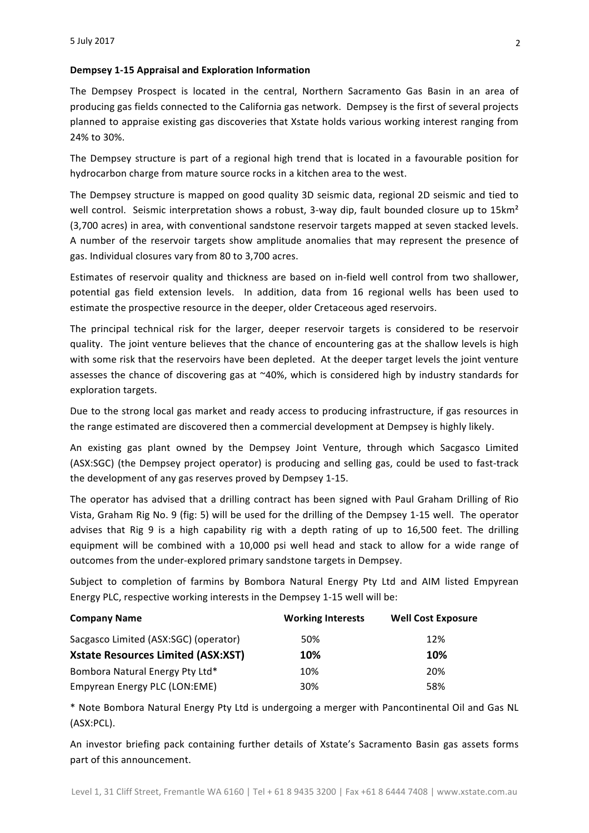### **Dempsey 1-15 Appraisal and Exploration Information**

The Dempsey Prospect is located in the central, Northern Sacramento Gas Basin in an area of producing gas fields connected to the California gas network. Dempsey is the first of several projects planned to appraise existing gas discoveries that Xstate holds various working interest ranging from 24% to 30%.

The Dempsey structure is part of a regional high trend that is located in a favourable position for hydrocarbon charge from mature source rocks in a kitchen area to the west.

The Dempsey structure is mapped on good quality 3D seismic data, regional 2D seismic and tied to well control. Seismic interpretation shows a robust, 3-way dip, fault bounded closure up to 15km<sup>2</sup> (3,700 acres) in area, with conventional sandstone reservoir targets mapped at seven stacked levels. A number of the reservoir targets show amplitude anomalies that may represent the presence of gas. Individual closures vary from 80 to 3,700 acres.

Estimates of reservoir quality and thickness are based on in-field well control from two shallower. potential gas field extension levels. In addition, data from 16 regional wells has been used to estimate the prospective resource in the deeper, older Cretaceous aged reservoirs.

The principal technical risk for the larger, deeper reservoir targets is considered to be reservoir quality. The joint venture believes that the chance of encountering gas at the shallow levels is high with some risk that the reservoirs have been depleted. At the deeper target levels the joint venture assesses the chance of discovering gas at  $~40\%$ , which is considered high by industry standards for exploration targets.

Due to the strong local gas market and ready access to producing infrastructure, if gas resources in the range estimated are discovered then a commercial development at Dempsey is highly likely.

An existing gas plant owned by the Dempsey Joint Venture, through which Sacgasco Limited (ASX:SGC) (the Dempsey project operator) is producing and selling gas, could be used to fast-track the development of any gas reserves proved by Dempsey 1-15.

The operator has advised that a drilling contract has been signed with Paul Graham Drilling of Rio Vista, Graham Rig No. 9 (fig: 5) will be used for the drilling of the Dempsey 1-15 well. The operator advises that Rig 9 is a high capability rig with a depth rating of up to 16,500 feet. The drilling equipment will be combined with a 10,000 psi well head and stack to allow for a wide range of outcomes from the under-explored primary sandstone targets in Dempsey.

Subject to completion of farmins by Bombora Natural Energy Pty Ltd and AIM listed Empyrean Energy PLC, respective working interests in the Dempsey 1-15 well will be:

| <b>Company Name</b>                       | <b>Working Interests</b> | <b>Well Cost Exposure</b> |
|-------------------------------------------|--------------------------|---------------------------|
| Sacgasco Limited (ASX:SGC) (operator)     | 50%                      | 12%                       |
| <b>Xstate Resources Limited (ASX:XST)</b> | 10%                      | 10%                       |
| Bombora Natural Energy Pty Ltd*           | 10%                      | 20%                       |
| Empyrean Energy PLC (LON:EME)             | 30%                      | 58%                       |

\* Note Bombora Natural Energy Pty Ltd is undergoing a merger with Pancontinental Oil and Gas NL (ASX:PCL).

An investor briefing pack containing further details of Xstate's Sacramento Basin gas assets forms part of this announcement.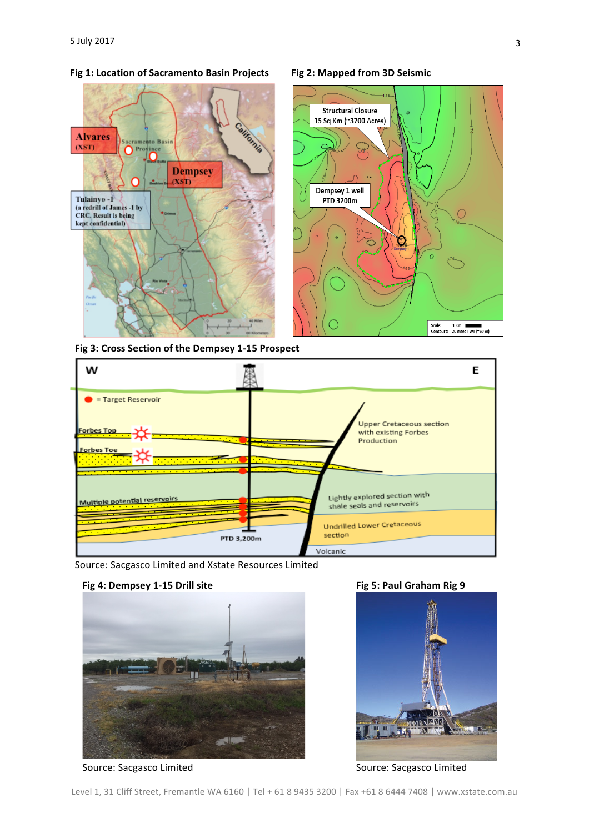

## Fig 1: Location of Sacramento Basin Projects Fig 2: Mapped from 3D Seismic

## **Fig 3: Cross Section of the Dempsey 1-15 Prospect**



Source: Sacgasco Limited and Xstate Resources Limited



Source: Sacgasco Limited Source: Sacgasco Limited Source: Sacgasco Limited



Level 1, 31 Cliff Street, Fremantle WA 6160 | Tel + 61 8 9435 3200 | Fax +61 8 6444 7408 | www.xstate.com.au